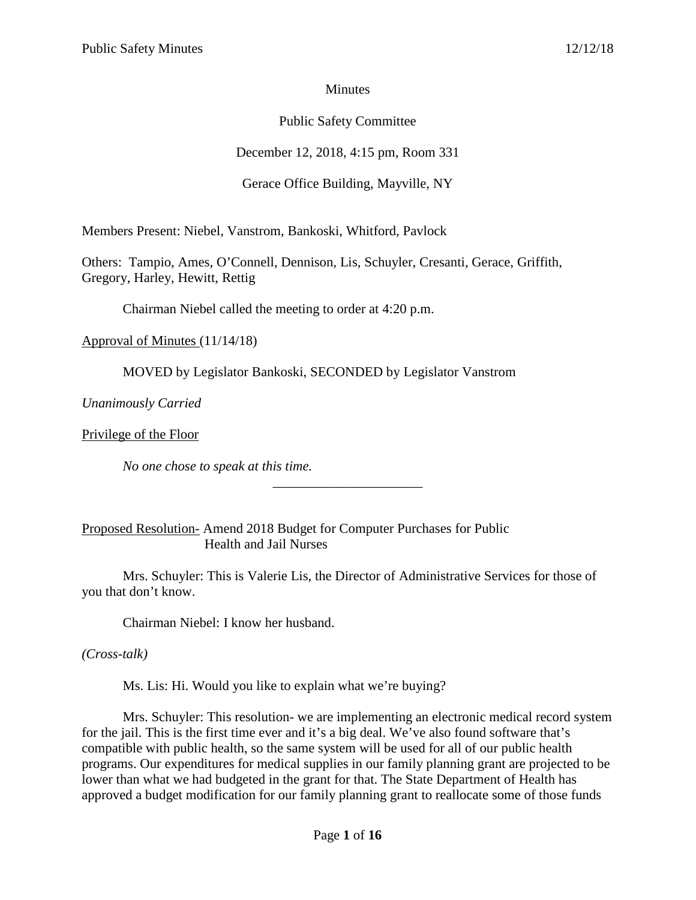## **Minutes**

# Public Safety Committee

# December 12, 2018, 4:15 pm, Room 331

# Gerace Office Building, Mayville, NY

Members Present: Niebel, Vanstrom, Bankoski, Whitford, Pavlock

Others: Tampio, Ames, O'Connell, Dennison, Lis, Schuyler, Cresanti, Gerace, Griffith, Gregory, Harley, Hewitt, Rettig

Chairman Niebel called the meeting to order at 4:20 p.m.

Approval of Minutes (11/14/18)

MOVED by Legislator Bankoski, SECONDED by Legislator Vanstrom

*Unanimously Carried*

Privilege of the Floor

*No one chose to speak at this time.*

Proposed Resolution- Amend 2018 Budget for Computer Purchases for Public Health and Jail Nurses

Mrs. Schuyler: This is Valerie Lis, the Director of Administrative Services for those of you that don't know.

\_\_\_\_\_\_\_\_\_\_\_\_\_\_\_\_\_\_\_\_\_\_

Chairman Niebel: I know her husband.

*(Cross-talk)*

Ms. Lis: Hi. Would you like to explain what we're buying?

Mrs. Schuyler: This resolution- we are implementing an electronic medical record system for the jail. This is the first time ever and it's a big deal. We've also found software that's compatible with public health, so the same system will be used for all of our public health programs. Our expenditures for medical supplies in our family planning grant are projected to be lower than what we had budgeted in the grant for that. The State Department of Health has approved a budget modification for our family planning grant to reallocate some of those funds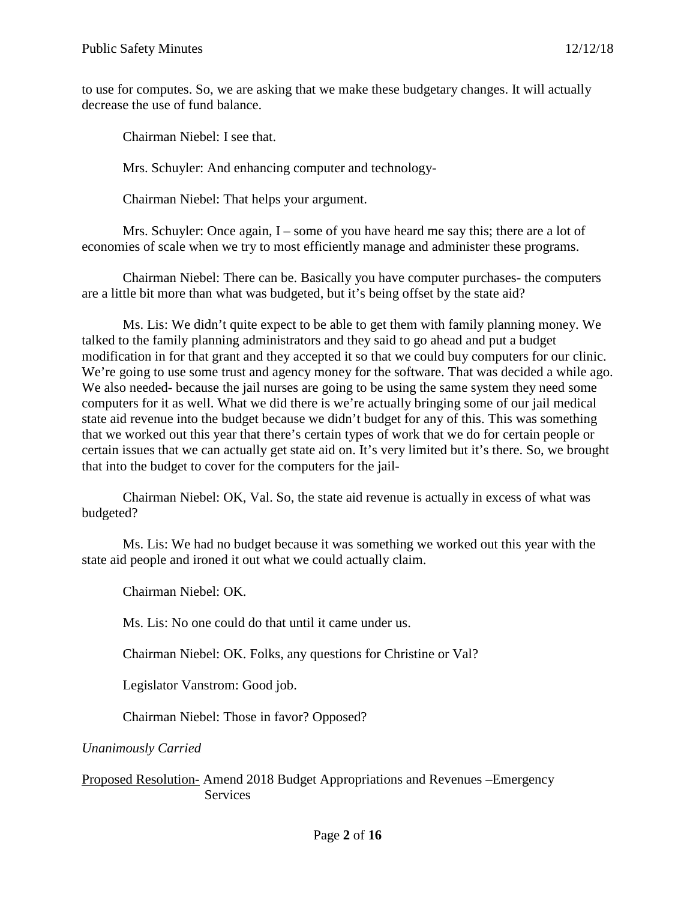to use for computes. So, we are asking that we make these budgetary changes. It will actually decrease the use of fund balance.

Chairman Niebel: I see that.

Mrs. Schuyler: And enhancing computer and technology-

Chairman Niebel: That helps your argument.

Mrs. Schuyler: Once again, I – some of you have heard me say this; there are a lot of economies of scale when we try to most efficiently manage and administer these programs.

Chairman Niebel: There can be. Basically you have computer purchases- the computers are a little bit more than what was budgeted, but it's being offset by the state aid?

Ms. Lis: We didn't quite expect to be able to get them with family planning money. We talked to the family planning administrators and they said to go ahead and put a budget modification in for that grant and they accepted it so that we could buy computers for our clinic. We're going to use some trust and agency money for the software. That was decided a while ago. We also needed- because the jail nurses are going to be using the same system they need some computers for it as well. What we did there is we're actually bringing some of our jail medical state aid revenue into the budget because we didn't budget for any of this. This was something that we worked out this year that there's certain types of work that we do for certain people or certain issues that we can actually get state aid on. It's very limited but it's there. So, we brought that into the budget to cover for the computers for the jail-

Chairman Niebel: OK, Val. So, the state aid revenue is actually in excess of what was budgeted?

Ms. Lis: We had no budget because it was something we worked out this year with the state aid people and ironed it out what we could actually claim.

Chairman Niebel: OK.

Ms. Lis: No one could do that until it came under us.

Chairman Niebel: OK. Folks, any questions for Christine or Val?

Legislator Vanstrom: Good job.

Chairman Niebel: Those in favor? Opposed?

*Unanimously Carried*

Proposed Resolution- Amend 2018 Budget Appropriations and Revenues –Emergency **Services**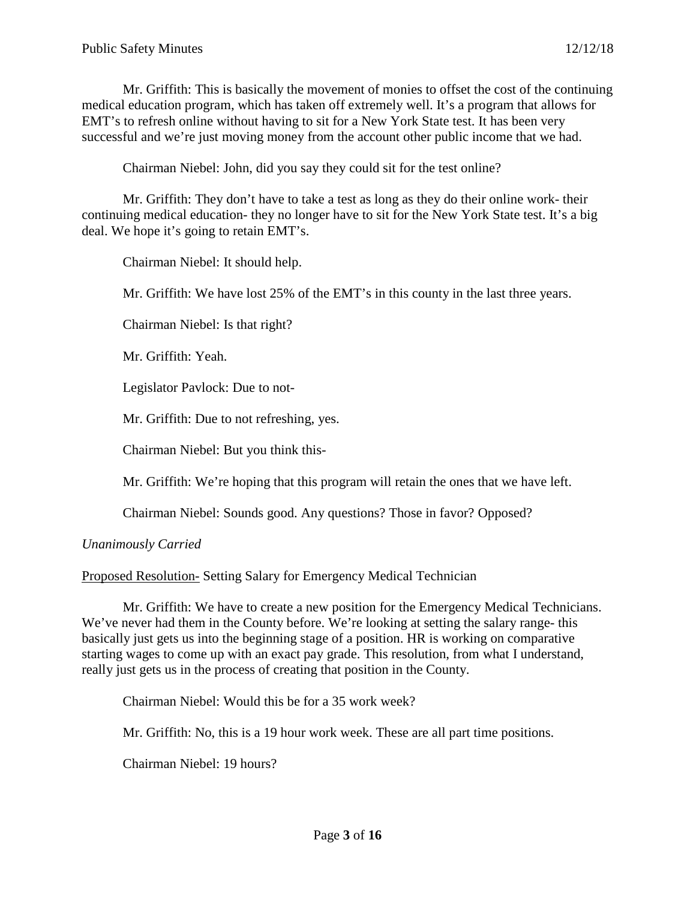Mr. Griffith: This is basically the movement of monies to offset the cost of the continuing medical education program, which has taken off extremely well. It's a program that allows for EMT's to refresh online without having to sit for a New York State test. It has been very successful and we're just moving money from the account other public income that we had.

Chairman Niebel: John, did you say they could sit for the test online?

Mr. Griffith: They don't have to take a test as long as they do their online work- their continuing medical education- they no longer have to sit for the New York State test. It's a big deal. We hope it's going to retain EMT's.

Chairman Niebel: It should help.

Mr. Griffith: We have lost 25% of the EMT's in this county in the last three years.

Chairman Niebel: Is that right?

Mr. Griffith: Yeah.

Legislator Pavlock: Due to not-

Mr. Griffith: Due to not refreshing, yes.

Chairman Niebel: But you think this-

Mr. Griffith: We're hoping that this program will retain the ones that we have left.

Chairman Niebel: Sounds good. Any questions? Those in favor? Opposed?

#### *Unanimously Carried*

Proposed Resolution- Setting Salary for Emergency Medical Technician

Mr. Griffith: We have to create a new position for the Emergency Medical Technicians. We've never had them in the County before. We're looking at setting the salary range- this basically just gets us into the beginning stage of a position. HR is working on comparative starting wages to come up with an exact pay grade. This resolution, from what I understand, really just gets us in the process of creating that position in the County.

Chairman Niebel: Would this be for a 35 work week?

Mr. Griffith: No, this is a 19 hour work week. These are all part time positions.

Chairman Niebel: 19 hours?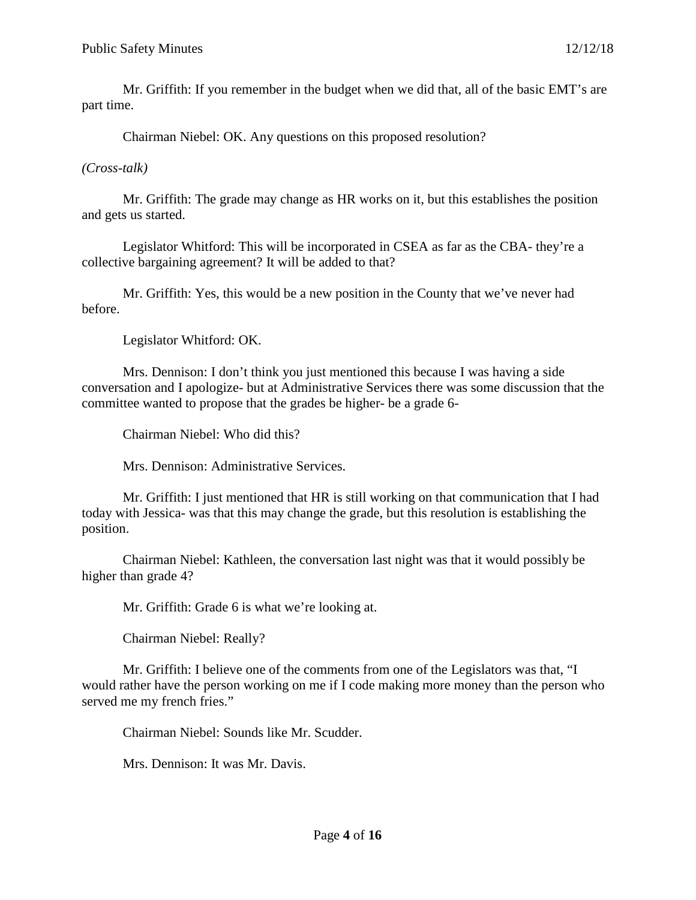Mr. Griffith: If you remember in the budget when we did that, all of the basic EMT's are part time.

Chairman Niebel: OK. Any questions on this proposed resolution?

## *(Cross-talk)*

Mr. Griffith: The grade may change as HR works on it, but this establishes the position and gets us started.

Legislator Whitford: This will be incorporated in CSEA as far as the CBA- they're a collective bargaining agreement? It will be added to that?

Mr. Griffith: Yes, this would be a new position in the County that we've never had before.

Legislator Whitford: OK.

Mrs. Dennison: I don't think you just mentioned this because I was having a side conversation and I apologize- but at Administrative Services there was some discussion that the committee wanted to propose that the grades be higher- be a grade 6-

Chairman Niebel: Who did this?

Mrs. Dennison: Administrative Services.

Mr. Griffith: I just mentioned that HR is still working on that communication that I had today with Jessica- was that this may change the grade, but this resolution is establishing the position.

Chairman Niebel: Kathleen, the conversation last night was that it would possibly be higher than grade 4?

Mr. Griffith: Grade 6 is what we're looking at.

Chairman Niebel: Really?

Mr. Griffith: I believe one of the comments from one of the Legislators was that, "I would rather have the person working on me if I code making more money than the person who served me my french fries."

Chairman Niebel: Sounds like Mr. Scudder.

Mrs. Dennison: It was Mr. Davis.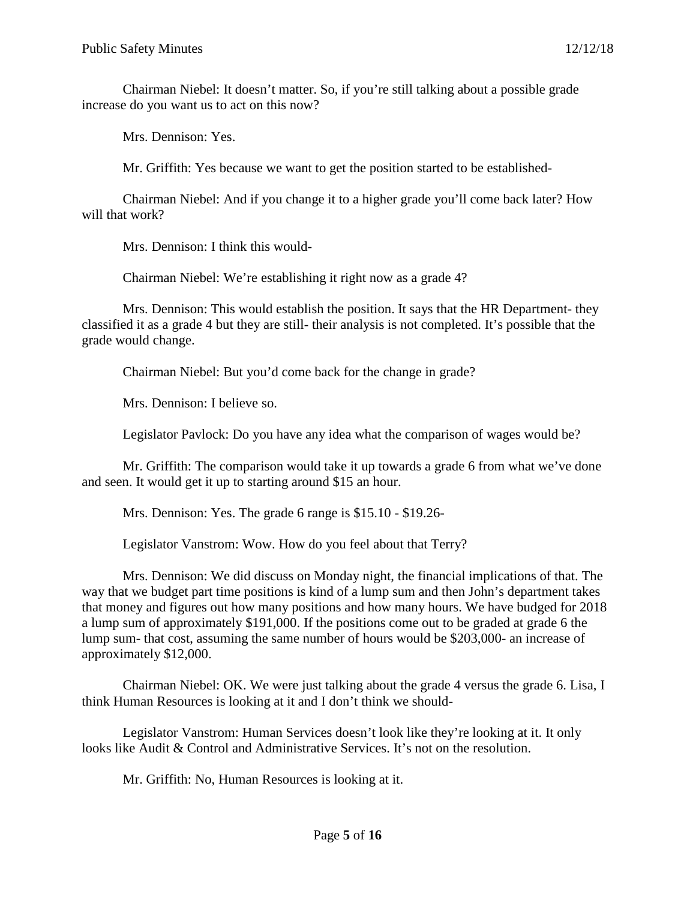Chairman Niebel: It doesn't matter. So, if you're still talking about a possible grade increase do you want us to act on this now?

Mrs. Dennison: Yes.

Mr. Griffith: Yes because we want to get the position started to be established-

Chairman Niebel: And if you change it to a higher grade you'll come back later? How will that work?

Mrs. Dennison: I think this would-

Chairman Niebel: We're establishing it right now as a grade 4?

Mrs. Dennison: This would establish the position. It says that the HR Department- they classified it as a grade 4 but they are still- their analysis is not completed. It's possible that the grade would change.

Chairman Niebel: But you'd come back for the change in grade?

Mrs. Dennison: I believe so.

Legislator Pavlock: Do you have any idea what the comparison of wages would be?

Mr. Griffith: The comparison would take it up towards a grade 6 from what we've done and seen. It would get it up to starting around \$15 an hour.

Mrs. Dennison: Yes. The grade 6 range is \$15.10 - \$19.26-

Legislator Vanstrom: Wow. How do you feel about that Terry?

Mrs. Dennison: We did discuss on Monday night, the financial implications of that. The way that we budget part time positions is kind of a lump sum and then John's department takes that money and figures out how many positions and how many hours. We have budged for 2018 a lump sum of approximately \$191,000. If the positions come out to be graded at grade 6 the lump sum- that cost, assuming the same number of hours would be \$203,000- an increase of approximately \$12,000.

Chairman Niebel: OK. We were just talking about the grade 4 versus the grade 6. Lisa, I think Human Resources is looking at it and I don't think we should-

Legislator Vanstrom: Human Services doesn't look like they're looking at it. It only looks like Audit & Control and Administrative Services. It's not on the resolution.

Mr. Griffith: No, Human Resources is looking at it.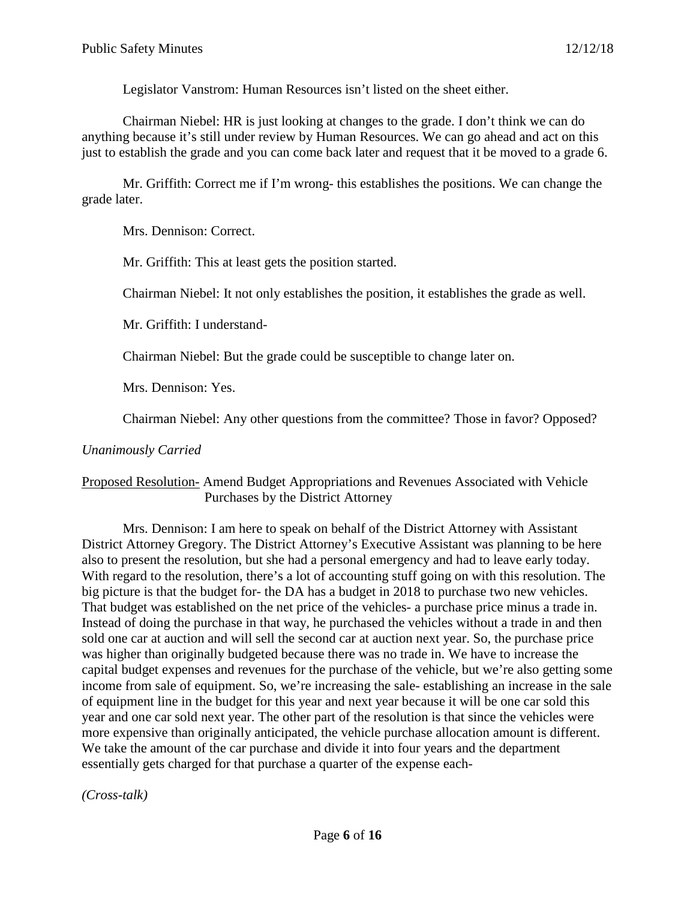Legislator Vanstrom: Human Resources isn't listed on the sheet either.

Chairman Niebel: HR is just looking at changes to the grade. I don't think we can do anything because it's still under review by Human Resources. We can go ahead and act on this just to establish the grade and you can come back later and request that it be moved to a grade 6.

Mr. Griffith: Correct me if I'm wrong- this establishes the positions. We can change the grade later.

Mrs. Dennison: Correct.

Mr. Griffith: This at least gets the position started.

Chairman Niebel: It not only establishes the position, it establishes the grade as well.

Mr. Griffith: I understand-

Chairman Niebel: But the grade could be susceptible to change later on.

Mrs. Dennison: Yes.

Chairman Niebel: Any other questions from the committee? Those in favor? Opposed?

### *Unanimously Carried*

## Proposed Resolution- Amend Budget Appropriations and Revenues Associated with Vehicle Purchases by the District Attorney

Mrs. Dennison: I am here to speak on behalf of the District Attorney with Assistant District Attorney Gregory. The District Attorney's Executive Assistant was planning to be here also to present the resolution, but she had a personal emergency and had to leave early today. With regard to the resolution, there's a lot of accounting stuff going on with this resolution. The big picture is that the budget for- the DA has a budget in 2018 to purchase two new vehicles. That budget was established on the net price of the vehicles- a purchase price minus a trade in. Instead of doing the purchase in that way, he purchased the vehicles without a trade in and then sold one car at auction and will sell the second car at auction next year. So, the purchase price was higher than originally budgeted because there was no trade in. We have to increase the capital budget expenses and revenues for the purchase of the vehicle, but we're also getting some income from sale of equipment. So, we're increasing the sale- establishing an increase in the sale of equipment line in the budget for this year and next year because it will be one car sold this year and one car sold next year. The other part of the resolution is that since the vehicles were more expensive than originally anticipated, the vehicle purchase allocation amount is different. We take the amount of the car purchase and divide it into four years and the department essentially gets charged for that purchase a quarter of the expense each-

*(Cross-talk)*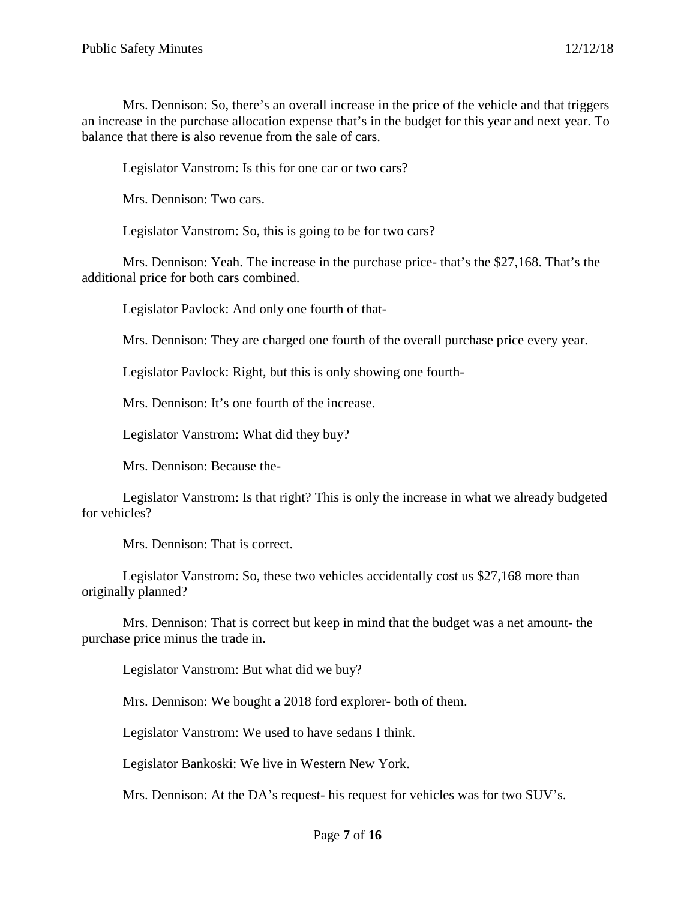Mrs. Dennison: So, there's an overall increase in the price of the vehicle and that triggers an increase in the purchase allocation expense that's in the budget for this year and next year. To balance that there is also revenue from the sale of cars.

Legislator Vanstrom: Is this for one car or two cars?

Mrs. Dennison: Two cars.

Legislator Vanstrom: So, this is going to be for two cars?

Mrs. Dennison: Yeah. The increase in the purchase price- that's the \$27,168. That's the additional price for both cars combined.

Legislator Pavlock: And only one fourth of that-

Mrs. Dennison: They are charged one fourth of the overall purchase price every year.

Legislator Pavlock: Right, but this is only showing one fourth-

Mrs. Dennison: It's one fourth of the increase.

Legislator Vanstrom: What did they buy?

Mrs. Dennison: Because the-

Legislator Vanstrom: Is that right? This is only the increase in what we already budgeted for vehicles?

Mrs. Dennison: That is correct.

Legislator Vanstrom: So, these two vehicles accidentally cost us \$27,168 more than originally planned?

Mrs. Dennison: That is correct but keep in mind that the budget was a net amount- the purchase price minus the trade in.

Legislator Vanstrom: But what did we buy?

Mrs. Dennison: We bought a 2018 ford explorer- both of them.

Legislator Vanstrom: We used to have sedans I think.

Legislator Bankoski: We live in Western New York.

Mrs. Dennison: At the DA's request- his request for vehicles was for two SUV's.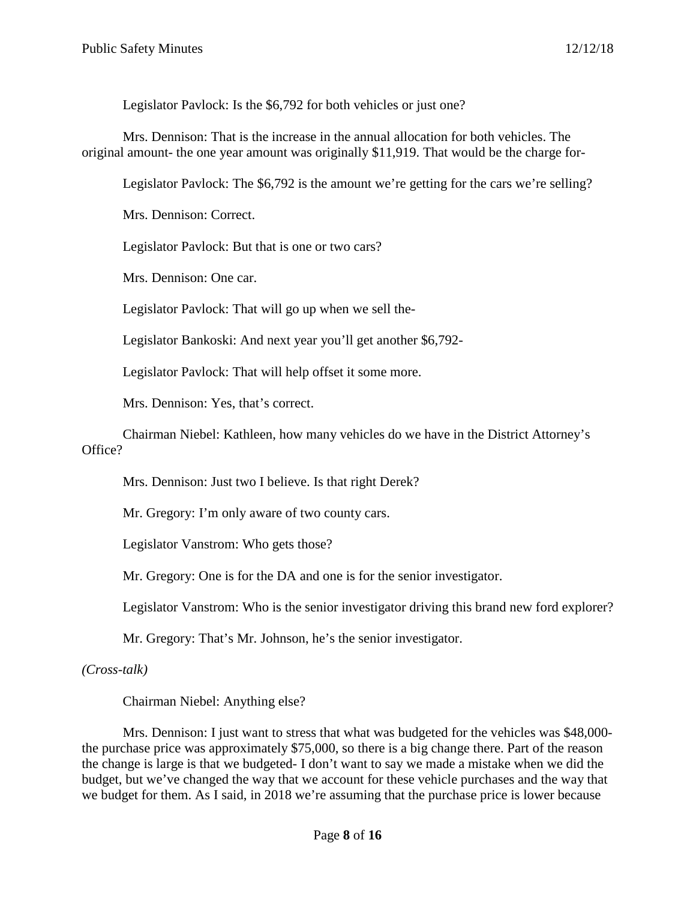Legislator Pavlock: Is the \$6,792 for both vehicles or just one?

Mrs. Dennison: That is the increase in the annual allocation for both vehicles. The original amount- the one year amount was originally \$11,919. That would be the charge for-

Legislator Pavlock: The \$6,792 is the amount we're getting for the cars we're selling?

Mrs. Dennison: Correct.

Legislator Pavlock: But that is one or two cars?

Mrs. Dennison: One car.

Legislator Pavlock: That will go up when we sell the-

Legislator Bankoski: And next year you'll get another \$6,792-

Legislator Pavlock: That will help offset it some more.

Mrs. Dennison: Yes, that's correct.

Chairman Niebel: Kathleen, how many vehicles do we have in the District Attorney's Office?

Mrs. Dennison: Just two I believe. Is that right Derek?

Mr. Gregory: I'm only aware of two county cars.

Legislator Vanstrom: Who gets those?

Mr. Gregory: One is for the DA and one is for the senior investigator.

Legislator Vanstrom: Who is the senior investigator driving this brand new ford explorer?

Mr. Gregory: That's Mr. Johnson, he's the senior investigator.

*(Cross-talk)*

Chairman Niebel: Anything else?

Mrs. Dennison: I just want to stress that what was budgeted for the vehicles was \$48,000 the purchase price was approximately \$75,000, so there is a big change there. Part of the reason the change is large is that we budgeted- I don't want to say we made a mistake when we did the budget, but we've changed the way that we account for these vehicle purchases and the way that we budget for them. As I said, in 2018 we're assuming that the purchase price is lower because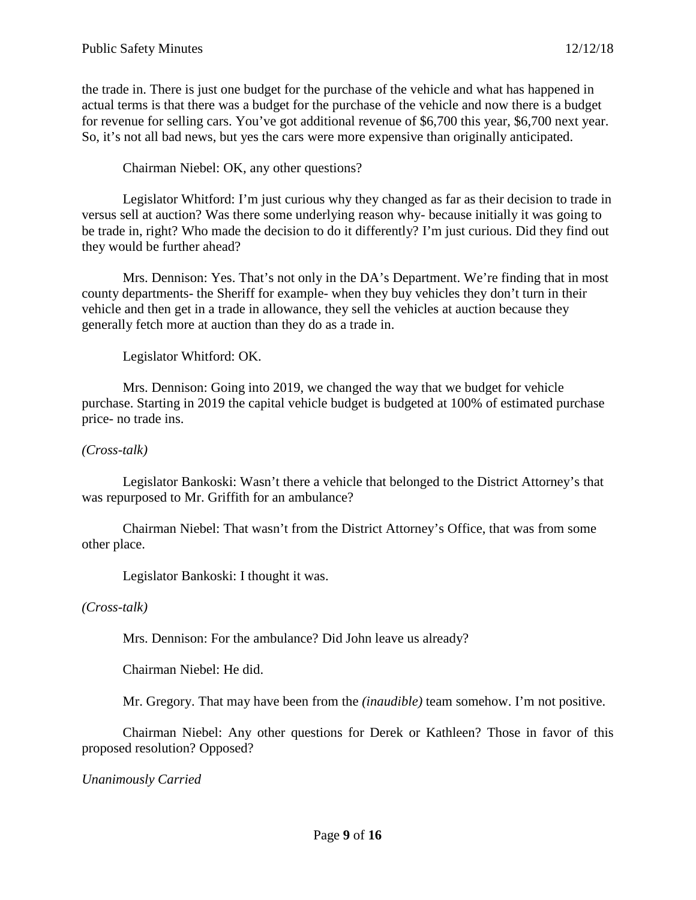the trade in. There is just one budget for the purchase of the vehicle and what has happened in actual terms is that there was a budget for the purchase of the vehicle and now there is a budget for revenue for selling cars. You've got additional revenue of \$6,700 this year, \$6,700 next year. So, it's not all bad news, but yes the cars were more expensive than originally anticipated.

Chairman Niebel: OK, any other questions?

Legislator Whitford: I'm just curious why they changed as far as their decision to trade in versus sell at auction? Was there some underlying reason why- because initially it was going to be trade in, right? Who made the decision to do it differently? I'm just curious. Did they find out they would be further ahead?

Mrs. Dennison: Yes. That's not only in the DA's Department. We're finding that in most county departments- the Sheriff for example- when they buy vehicles they don't turn in their vehicle and then get in a trade in allowance, they sell the vehicles at auction because they generally fetch more at auction than they do as a trade in.

Legislator Whitford: OK.

Mrs. Dennison: Going into 2019, we changed the way that we budget for vehicle purchase. Starting in 2019 the capital vehicle budget is budgeted at 100% of estimated purchase price- no trade ins.

#### *(Cross-talk)*

Legislator Bankoski: Wasn't there a vehicle that belonged to the District Attorney's that was repurposed to Mr. Griffith for an ambulance?

Chairman Niebel: That wasn't from the District Attorney's Office, that was from some other place.

Legislator Bankoski: I thought it was.

#### *(Cross-talk)*

Mrs. Dennison: For the ambulance? Did John leave us already?

Chairman Niebel: He did.

Mr. Gregory. That may have been from the *(inaudible)* team somehow. I'm not positive.

Chairman Niebel: Any other questions for Derek or Kathleen? Those in favor of this proposed resolution? Opposed?

*Unanimously Carried*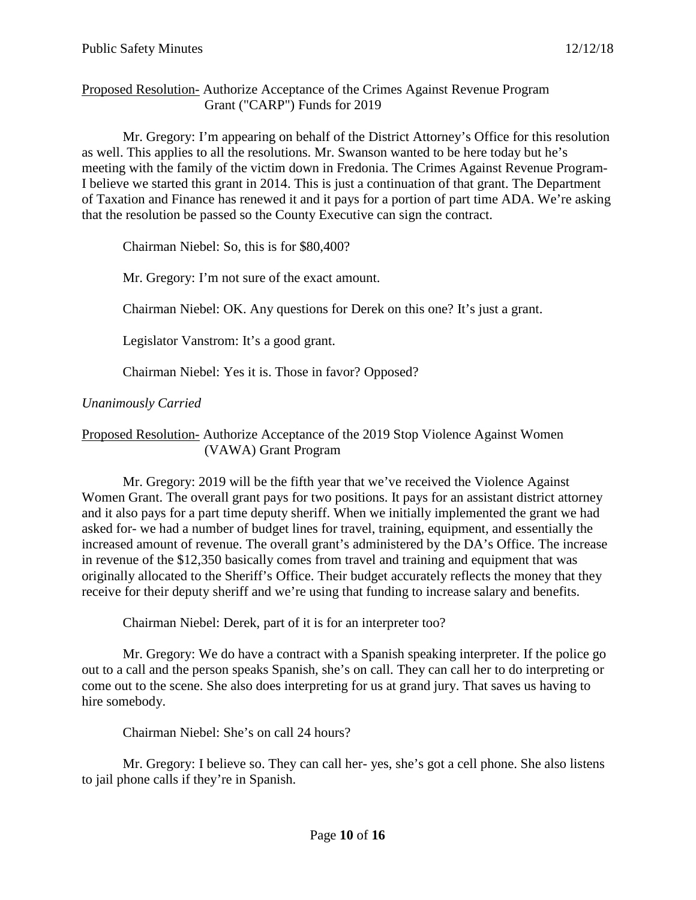## Proposed Resolution- Authorize Acceptance of the Crimes Against Revenue Program Grant ("CARP") Funds for 2019

Mr. Gregory: I'm appearing on behalf of the District Attorney's Office for this resolution as well. This applies to all the resolutions. Mr. Swanson wanted to be here today but he's meeting with the family of the victim down in Fredonia. The Crimes Against Revenue Program-I believe we started this grant in 2014. This is just a continuation of that grant. The Department of Taxation and Finance has renewed it and it pays for a portion of part time ADA. We're asking that the resolution be passed so the County Executive can sign the contract.

Chairman Niebel: So, this is for \$80,400?

Mr. Gregory: I'm not sure of the exact amount.

Chairman Niebel: OK. Any questions for Derek on this one? It's just a grant.

Legislator Vanstrom: It's a good grant.

Chairman Niebel: Yes it is. Those in favor? Opposed?

*Unanimously Carried*

Proposed Resolution- Authorize Acceptance of the 2019 Stop Violence Against Women (VAWA) Grant Program

Mr. Gregory: 2019 will be the fifth year that we've received the Violence Against Women Grant. The overall grant pays for two positions. It pays for an assistant district attorney and it also pays for a part time deputy sheriff. When we initially implemented the grant we had asked for- we had a number of budget lines for travel, training, equipment, and essentially the increased amount of revenue. The overall grant's administered by the DA's Office. The increase in revenue of the \$12,350 basically comes from travel and training and equipment that was originally allocated to the Sheriff's Office. Their budget accurately reflects the money that they receive for their deputy sheriff and we're using that funding to increase salary and benefits.

Chairman Niebel: Derek, part of it is for an interpreter too?

Mr. Gregory: We do have a contract with a Spanish speaking interpreter. If the police go out to a call and the person speaks Spanish, she's on call. They can call her to do interpreting or come out to the scene. She also does interpreting for us at grand jury. That saves us having to hire somebody.

Chairman Niebel: She's on call 24 hours?

Mr. Gregory: I believe so. They can call her- yes, she's got a cell phone. She also listens to jail phone calls if they're in Spanish.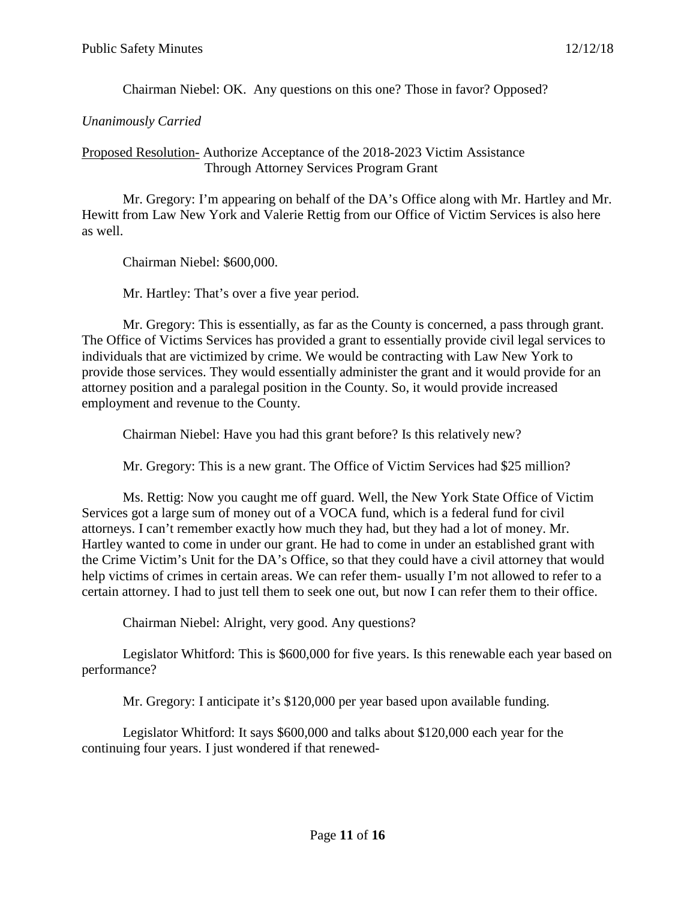Chairman Niebel: OK. Any questions on this one? Those in favor? Opposed?

### *Unanimously Carried*

#### Proposed Resolution- Authorize Acceptance of the 2018-2023 Victim Assistance Through Attorney Services Program Grant

Mr. Gregory: I'm appearing on behalf of the DA's Office along with Mr. Hartley and Mr. Hewitt from Law New York and Valerie Rettig from our Office of Victim Services is also here as well.

Chairman Niebel: \$600,000.

Mr. Hartley: That's over a five year period.

Mr. Gregory: This is essentially, as far as the County is concerned, a pass through grant. The Office of Victims Services has provided a grant to essentially provide civil legal services to individuals that are victimized by crime. We would be contracting with Law New York to provide those services. They would essentially administer the grant and it would provide for an attorney position and a paralegal position in the County. So, it would provide increased employment and revenue to the County.

Chairman Niebel: Have you had this grant before? Is this relatively new?

Mr. Gregory: This is a new grant. The Office of Victim Services had \$25 million?

Ms. Rettig: Now you caught me off guard. Well, the New York State Office of Victim Services got a large sum of money out of a VOCA fund, which is a federal fund for civil attorneys. I can't remember exactly how much they had, but they had a lot of money. Mr. Hartley wanted to come in under our grant. He had to come in under an established grant with the Crime Victim's Unit for the DA's Office, so that they could have a civil attorney that would help victims of crimes in certain areas. We can refer them- usually I'm not allowed to refer to a certain attorney. I had to just tell them to seek one out, but now I can refer them to their office.

Chairman Niebel: Alright, very good. Any questions?

Legislator Whitford: This is \$600,000 for five years. Is this renewable each year based on performance?

Mr. Gregory: I anticipate it's \$120,000 per year based upon available funding.

Legislator Whitford: It says \$600,000 and talks about \$120,000 each year for the continuing four years. I just wondered if that renewed-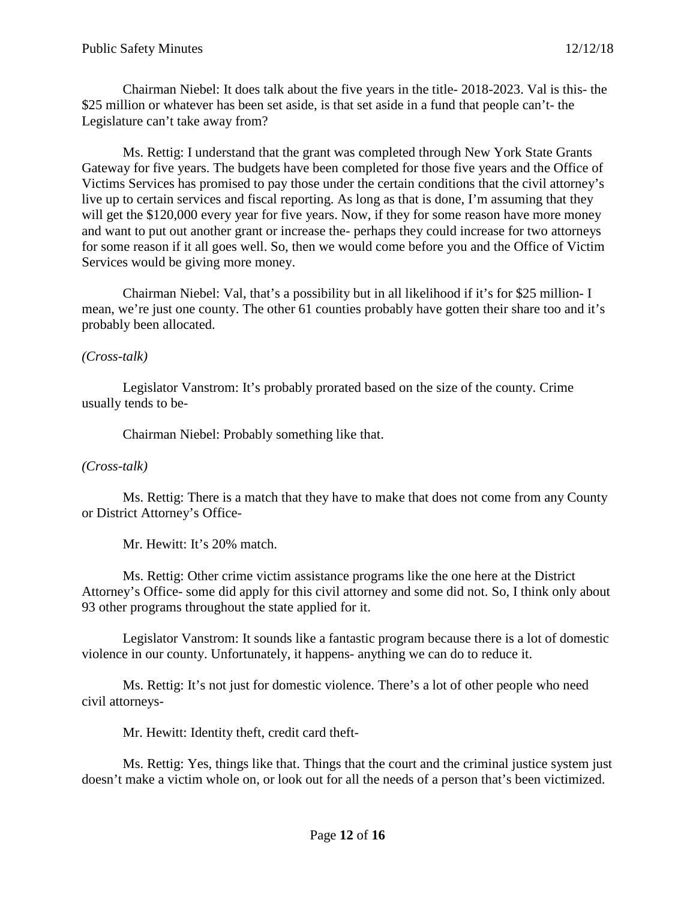Chairman Niebel: It does talk about the five years in the title- 2018-2023. Val is this- the \$25 million or whatever has been set aside, is that set aside in a fund that people can't- the Legislature can't take away from?

Ms. Rettig: I understand that the grant was completed through New York State Grants Gateway for five years. The budgets have been completed for those five years and the Office of Victims Services has promised to pay those under the certain conditions that the civil attorney's live up to certain services and fiscal reporting. As long as that is done, I'm assuming that they will get the \$120,000 every year for five years. Now, if they for some reason have more money and want to put out another grant or increase the- perhaps they could increase for two attorneys for some reason if it all goes well. So, then we would come before you and the Office of Victim Services would be giving more money.

Chairman Niebel: Val, that's a possibility but in all likelihood if it's for \$25 million- I mean, we're just one county. The other 61 counties probably have gotten their share too and it's probably been allocated.

### *(Cross-talk)*

Legislator Vanstrom: It's probably prorated based on the size of the county. Crime usually tends to be-

Chairman Niebel: Probably something like that.

# *(Cross-talk)*

Ms. Rettig: There is a match that they have to make that does not come from any County or District Attorney's Office-

Mr. Hewitt: It's 20% match.

Ms. Rettig: Other crime victim assistance programs like the one here at the District Attorney's Office- some did apply for this civil attorney and some did not. So, I think only about 93 other programs throughout the state applied for it.

Legislator Vanstrom: It sounds like a fantastic program because there is a lot of domestic violence in our county. Unfortunately, it happens- anything we can do to reduce it.

Ms. Rettig: It's not just for domestic violence. There's a lot of other people who need civil attorneys-

Mr. Hewitt: Identity theft, credit card theft-

Ms. Rettig: Yes, things like that. Things that the court and the criminal justice system just doesn't make a victim whole on, or look out for all the needs of a person that's been victimized.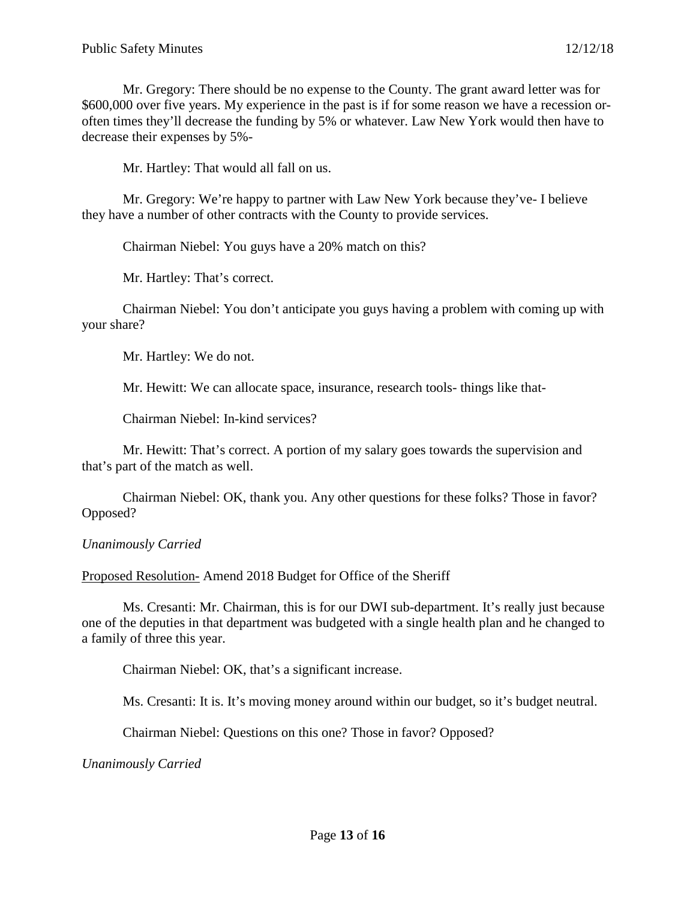Mr. Gregory: There should be no expense to the County. The grant award letter was for \$600,000 over five years. My experience in the past is if for some reason we have a recession oroften times they'll decrease the funding by 5% or whatever. Law New York would then have to decrease their expenses by 5%-

Mr. Hartley: That would all fall on us.

Mr. Gregory: We're happy to partner with Law New York because they've- I believe they have a number of other contracts with the County to provide services.

Chairman Niebel: You guys have a 20% match on this?

Mr. Hartley: That's correct.

Chairman Niebel: You don't anticipate you guys having a problem with coming up with your share?

Mr. Hartley: We do not.

Mr. Hewitt: We can allocate space, insurance, research tools- things like that-

Chairman Niebel: In-kind services?

Mr. Hewitt: That's correct. A portion of my salary goes towards the supervision and that's part of the match as well.

Chairman Niebel: OK, thank you. Any other questions for these folks? Those in favor? Opposed?

*Unanimously Carried*

Proposed Resolution- Amend 2018 Budget for Office of the Sheriff

Ms. Cresanti: Mr. Chairman, this is for our DWI sub-department. It's really just because one of the deputies in that department was budgeted with a single health plan and he changed to a family of three this year.

Chairman Niebel: OK, that's a significant increase.

Ms. Cresanti: It is. It's moving money around within our budget, so it's budget neutral.

Chairman Niebel: Questions on this one? Those in favor? Opposed?

*Unanimously Carried*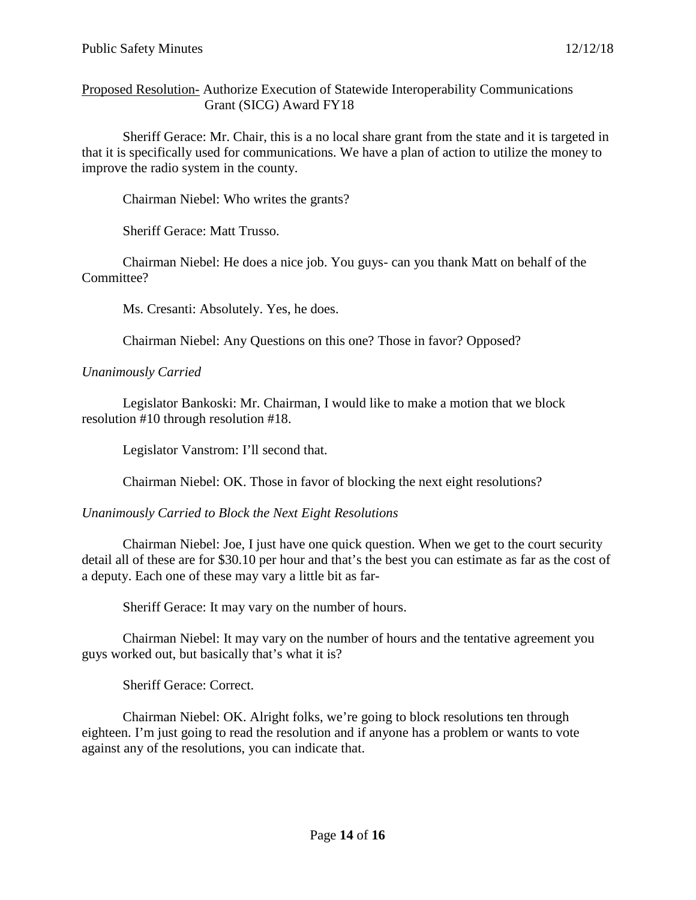Proposed Resolution- Authorize Execution of Statewide Interoperability Communications Grant (SICG) Award FY18

Sheriff Gerace: Mr. Chair, this is a no local share grant from the state and it is targeted in that it is specifically used for communications. We have a plan of action to utilize the money to improve the radio system in the county.

Chairman Niebel: Who writes the grants?

Sheriff Gerace: Matt Trusso.

Chairman Niebel: He does a nice job. You guys- can you thank Matt on behalf of the Committee?

Ms. Cresanti: Absolutely. Yes, he does.

Chairman Niebel: Any Questions on this one? Those in favor? Opposed?

*Unanimously Carried*

Legislator Bankoski: Mr. Chairman, I would like to make a motion that we block resolution #10 through resolution #18.

Legislator Vanstrom: I'll second that.

Chairman Niebel: OK. Those in favor of blocking the next eight resolutions?

### *Unanimously Carried to Block the Next Eight Resolutions*

Chairman Niebel: Joe, I just have one quick question. When we get to the court security detail all of these are for \$30.10 per hour and that's the best you can estimate as far as the cost of a deputy. Each one of these may vary a little bit as far-

Sheriff Gerace: It may vary on the number of hours.

Chairman Niebel: It may vary on the number of hours and the tentative agreement you guys worked out, but basically that's what it is?

Sheriff Gerace: Correct.

Chairman Niebel: OK. Alright folks, we're going to block resolutions ten through eighteen. I'm just going to read the resolution and if anyone has a problem or wants to vote against any of the resolutions, you can indicate that.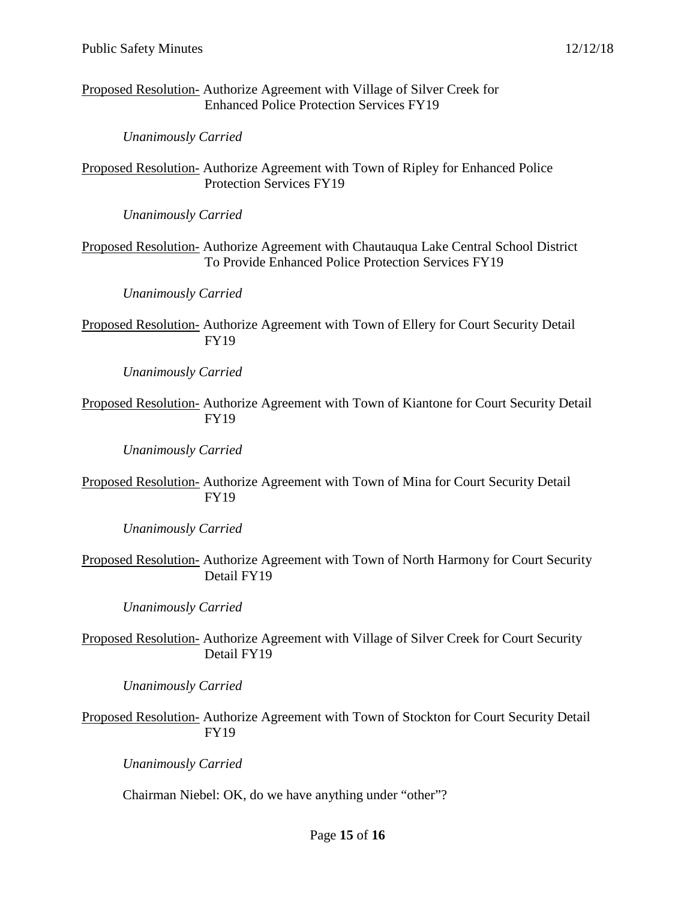Proposed Resolution- Authorize Agreement with Village of Silver Creek for Enhanced Police Protection Services FY19

*Unanimously Carried*

Proposed Resolution- Authorize Agreement with Town of Ripley for Enhanced Police Protection Services FY19

*Unanimously Carried*

Proposed Resolution- Authorize Agreement with Chautauqua Lake Central School District To Provide Enhanced Police Protection Services FY19

*Unanimously Carried*

Proposed Resolution- Authorize Agreement with Town of Ellery for Court Security Detail FY19

*Unanimously Carried*

Proposed Resolution- Authorize Agreement with Town of Kiantone for Court Security Detail FY19

*Unanimously Carried*

Proposed Resolution- Authorize Agreement with Town of Mina for Court Security Detail FY19

*Unanimously Carried*

Proposed Resolution- Authorize Agreement with Town of North Harmony for Court Security Detail FY19

*Unanimously Carried*

Proposed Resolution- Authorize Agreement with Village of Silver Creek for Court Security Detail FY19

*Unanimously Carried*

Proposed Resolution- Authorize Agreement with Town of Stockton for Court Security Detail FY19

*Unanimously Carried*

Chairman Niebel: OK, do we have anything under "other"?